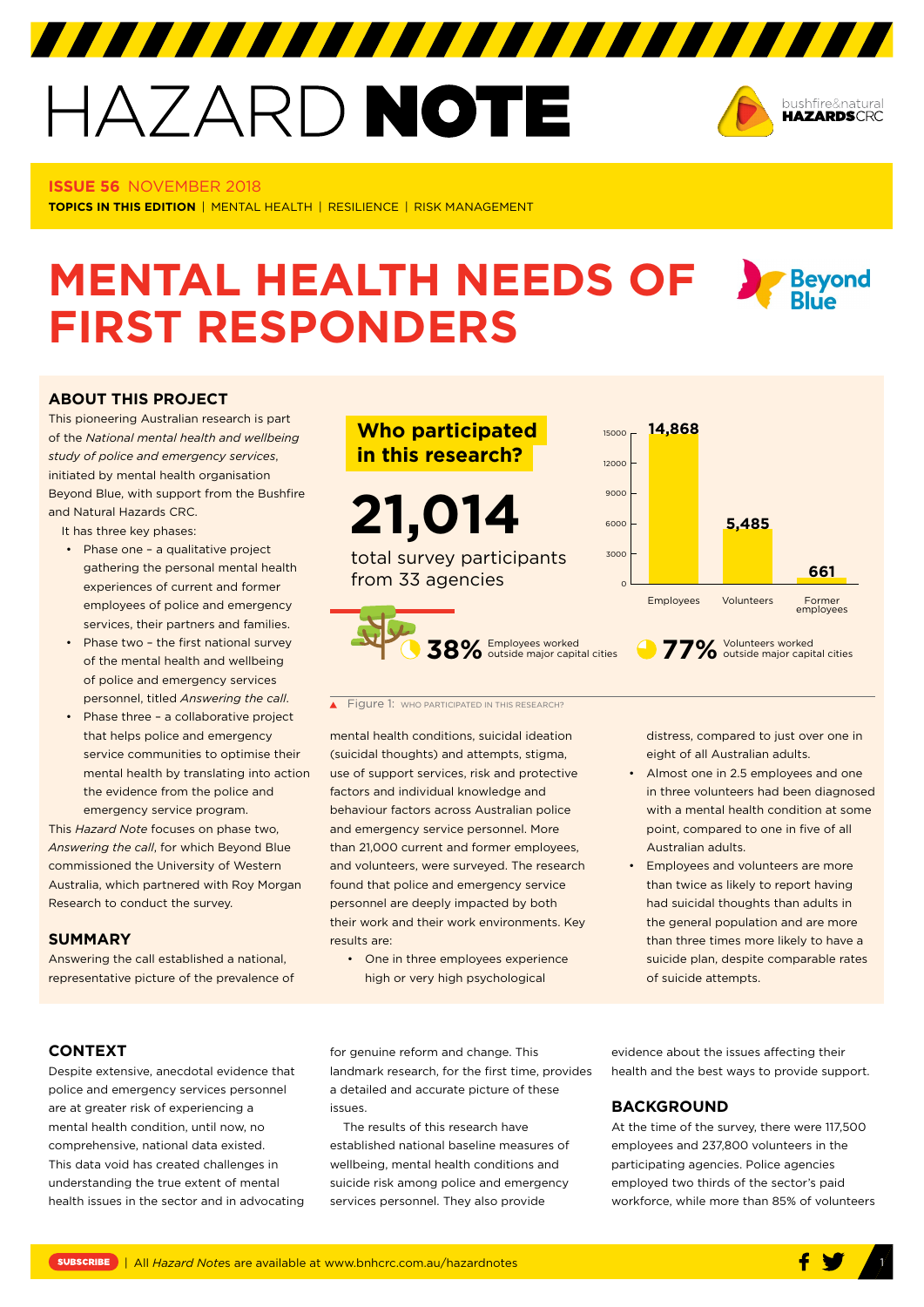# HAZARD NOTE



**TOPICS IN THIS EDITION** | MENTAL HEALTH | RESILIENCE | RISK MANAGEMENT

# **MENTAL HEALTH NEEDS OF FIRST RESPONDERS**



This pioneering Australian research is part of the *National mental health and wellbeing study of police and emergency services*, initiated by mental health organisation Beyond Blue, with support from the Bushfire and Natural Hazards CRC.

It has three key phases:

- Phase one a qualitative project gathering the personal mental health experiences of current and former employees of police and emergency services, their partners and families.
- Phase two the first national survey of the mental health and wellbeing of police and emergency services personnel, titled *Answering the call*.
- Phase three a collaborative project that helps police and emergency service communities to optimise their mental health by translating into action the evidence from the police and emergency service program.

This *Hazard Note* focuses on phase two, *Answering the call*, for which Beyond Blue commissioned the University of Western Australia, which partnered with Roy Morgan Research to conduct the survey.

# **SUMMARY**

Answering the call established a national, representative picture of the prevalence of

## Employees Volunteers employees **21,014** total survey participants from 33 agencies **Who participated in this research?** Employees worked outside major capital cities 0 3000 6000 9000 12000 15000 **77%** Volunteers worked outside major capital cities **14,868 5,485 661**

Figure 1: WHO PARTICIPATED IN THIS RESEARCH?

mental health conditions, suicidal ideation (suicidal thoughts) and attempts, stigma, use of support services, risk and protective factors and individual knowledge and behaviour factors across Australian police and emergency service personnel. More than 21,000 current and former employees, and volunteers, were surveyed. The research found that police and emergency service personnel are deeply impacted by both their work and their work environments. Key results are:

• One in three employees experience high or very high psychological

distress, compared to just over one in eight of all Australian adults.

**HAZARDSCRC** 

**Beyond** 

- Almost one in 2.5 employees and one in three volunteers had been diagnosed with a mental health condition at some point, compared to one in five of all Australian adults.
- Employees and volunteers are more than twice as likely to report having had suicidal thoughts than adults in the general population and are more than three times more likely to have a suicide plan, despite comparable rates of suicide attempts.

# **CONTEXT**

Despite extensive, anecdotal evidence that police and emergency services personnel are at greater risk of experiencing a mental health condition, until now, no comprehensive, national data existed. This data void has created challenges in understanding the true extent of mental health issues in the sector and in advocating for genuine reform and change. This landmark research, for the first time, provides a detailed and accurate picture of these issues.

The results of this research have established national baseline measures of wellbeing, mental health conditions and suicide risk among police and emergency services personnel. They also provide

evidence about the issues affecting their health and the best ways to provide support.

# **BACKGROUND**

At the time of the survey, there were 117,500 employees and 237,800 volunteers in the participating agencies. Police agencies employed two thirds of the sector's paid workforce, while more than 85% of volunteers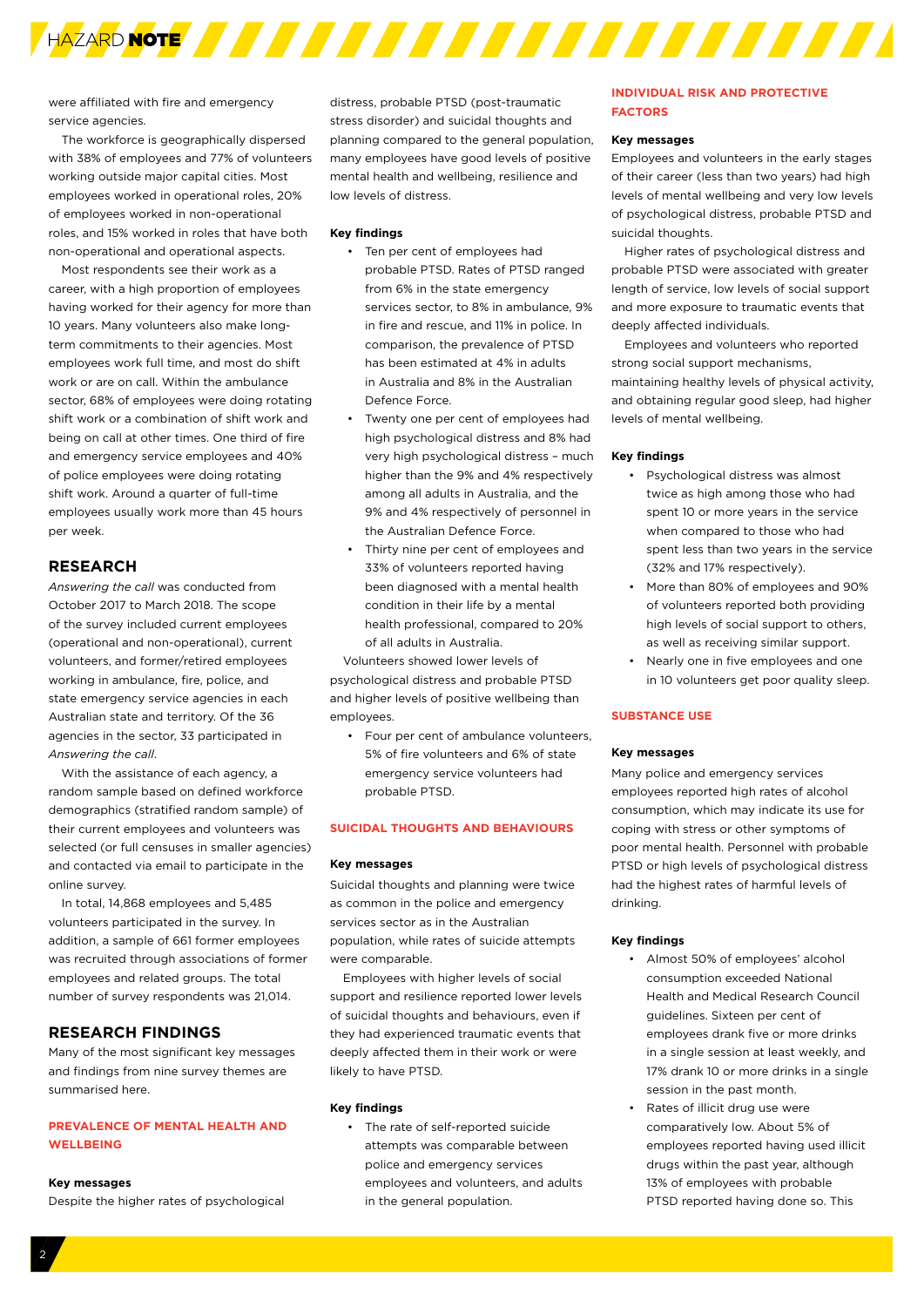

were affiliated with fire and emergency service agencies.

The workforce is geographically dispersed with 38% of employees and 77% of volunteers working outside major capital cities. Most employees worked in operational roles, 20% of employees worked in non-operational roles, and 15% worked in roles that have both non-operational and operational aspects.

Most respondents see their work as a career, with a high proportion of employees having worked for their agency for more than 10 years. Many volunteers also make longterm commitments to their agencies. Most employees work full time, and most do shift work or are on call. Within the ambulance sector, 68% of employees were doing rotating shift work or a combination of shift work and being on call at other times. One third of fire and emergency service employees and 40% of police employees were doing rotating shift work. Around a quarter of full-time employees usually work more than 45 hours per week.

# **RESEARCH**

*Answering the call* was conducted from October 2017 to March 2018. The scope of the survey included current employees (operational and non-operational), current volunteers, and former/retired employees working in ambulance, fire, police, and state emergency service agencies in each Australian state and territory. Of the 36 agencies in the sector, 33 participated in *Answering the call*.

With the assistance of each agency, a random sample based on defined workforce demographics (stratified random sample) of their current employees and volunteers was selected (or full censuses in smaller agencies) and contacted via email to participate in the online survey.

In total, 14,868 employees and 5,485 volunteers participated in the survey. In addition, a sample of 661 former employees was recruited through associations of former employees and related groups. The total number of survey respondents was 21,014.

# **RESEARCH FINDINGS**

Many of the most significant key messages and findings from nine survey themes are summarised here.

# **PREVALENCE OF MENTAL HEALTH AND WELLBEING**

#### **Key messages**

Despite the higher rates of psychological

distress, probable PTSD (post-traumatic stress disorder) and suicidal thoughts and planning compared to the general population, many employees have good levels of positive mental health and wellbeing, resilience and low levels of distress.

#### **Key findings**

- Ten per cent of employees had probable PTSD. Rates of PTSD ranged from 6% in the state emergency services sector, to 8% in ambulance, 9% in fire and rescue, and 11% in police. In comparison, the prevalence of PTSD has been estimated at 4% in adults in Australia and 8% in the Australian Defence Force.
- Twenty one per cent of employees had high psychological distress and 8% had very high psychological distress – much higher than the 9% and 4% respectively among all adults in Australia, and the 9% and 4% respectively of personnel in the Australian Defence Force.
- Thirty nine per cent of employees and 33% of volunteers reported having been diagnosed with a mental health condition in their life by a mental health professional, compared to 20% of all adults in Australia.

Volunteers showed lower levels of psychological distress and probable PTSD and higher levels of positive wellbeing than employees.

• Four per cent of ambulance volunteers, 5% of fire volunteers and 6% of state emergency service volunteers had probable PTSD.

# **SUICIDAL THOUGHTS AND BEHAVIOURS**

#### **Key messages**

Suicidal thoughts and planning were twice as common in the police and emergency services sector as in the Australian population, while rates of suicide attempts were comparable.

Employees with higher levels of social support and resilience reported lower levels of suicidal thoughts and behaviours, even if they had experienced traumatic events that deeply affected them in their work or were likely to have PTSD.

## **Key findings**

• The rate of self-reported suicide attempts was comparable between police and emergency services employees and volunteers, and adults in the general population.

# **INDIVIDUAL RISK AND PROTECTIVE FACTORS**

# **Key messages**

Employees and volunteers in the early stages of their career (less than two years) had high levels of mental wellbeing and very low levels of psychological distress, probable PTSD and suicidal thoughts.

Higher rates of psychological distress and probable PTSD were associated with greater length of service, low levels of social support and more exposure to traumatic events that deeply affected individuals.

Employees and volunteers who reported strong social support mechanisms, maintaining healthy levels of physical activity, and obtaining regular good sleep, had higher levels of mental wellbeing.

#### **Key findings**

- Psychological distress was almost twice as high among those who had spent 10 or more years in the service when compared to those who had spent less than two years in the service (32% and 17% respectively).
- More than 80% of employees and 90% of volunteers reported both providing high levels of social support to others. as well as receiving similar support.
- Nearly one in five employees and one in 10 volunteers get poor quality sleep.

#### **SUBSTANCE USE**

#### **Key messages**

Many police and emergency services employees reported high rates of alcohol consumption, which may indicate its use for coping with stress or other symptoms of poor mental health. Personnel with probable PTSD or high levels of psychological distress had the highest rates of harmful levels of drinking.

#### **Key findings**

- Almost 50% of employees' alcohol consumption exceeded National Health and Medical Research Council guidelines. Sixteen per cent of employees drank five or more drinks in a single session at least weekly, and 17% drank 10 or more drinks in a single session in the past month.
- Rates of illicit drug use were comparatively low. About 5% of employees reported having used illicit drugs within the past year, although 13% of employees with probable PTSD reported having done so. This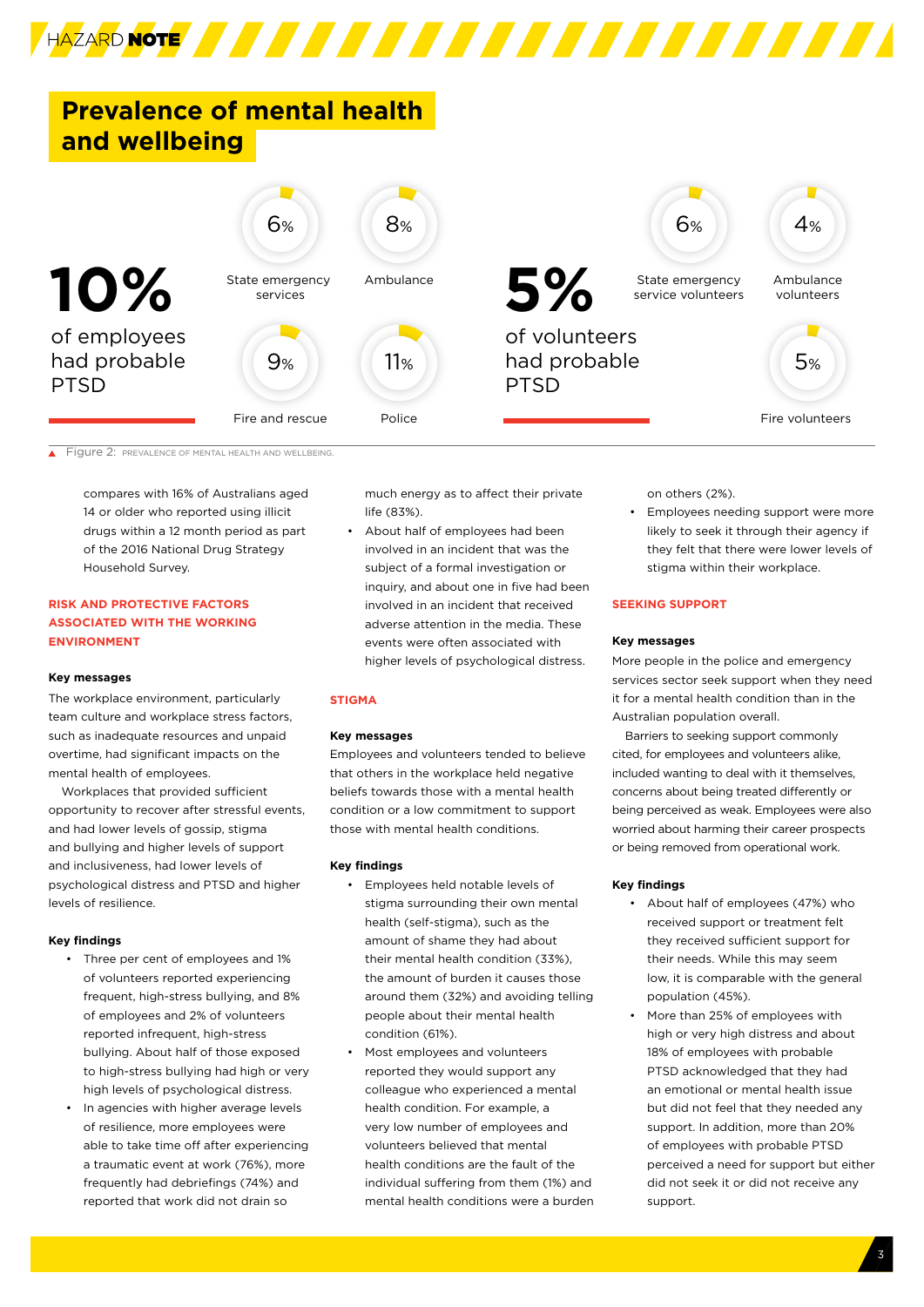

# **Prevalence of mental health and wellbeing**



Figure 2: PREVALENCE OF MENTAL HEALTH AND WELLBEING.

compares with 16% of Australians aged 14 or older who reported using illicit drugs within a 12 month period as part of the 2016 National Drug Strategy Household Survey.

# **RISK AND PROTECTIVE FACTORS ASSOCIATED WITH THE WORKING ENVIRONMENT**

## **Key messages**

The workplace environment, particularly team culture and workplace stress factors, such as inadequate resources and unpaid overtime, had significant impacts on the mental health of employees.

Workplaces that provided sufficient opportunity to recover after stressful events, and had lower levels of gossip, stigma and bullying and higher levels of support and inclusiveness, had lower levels of psychological distress and PTSD and higher levels of resilience.

# **Key findings**

- Three per cent of employees and 1% of volunteers reported experiencing frequent, high-stress bullying, and 8% of employees and 2% of volunteers reported infrequent, high-stress bullying. About half of those exposed to high-stress bullying had high or very high levels of psychological distress.
- In agencies with higher average levels of resilience, more employees were able to take time off after experiencing a traumatic event at work (76%), more frequently had debriefings (74%) and reported that work did not drain so

much energy as to affect their private life (83%).

• About half of employees had been involved in an incident that was the subject of a formal investigation or inquiry, and about one in five had been involved in an incident that received adverse attention in the media. These events were often associated with higher levels of psychological distress.

#### **STIGMA**

# **Key messages**

Employees and volunteers tended to believe that others in the workplace held negative beliefs towards those with a mental health condition or a low commitment to support those with mental health conditions.

# **Key findings**

- Employees held notable levels of stigma surrounding their own mental health (self-stigma), such as the amount of shame they had about their mental health condition (33%), the amount of burden it causes those around them (32%) and avoiding telling people about their mental health condition (61%).
- Most employees and volunteers reported they would support any colleague who experienced a mental health condition. For example, a very low number of employees and volunteers believed that mental health conditions are the fault of the individual suffering from them (1%) and mental health conditions were a burden

on others (2%).

• Employees needing support were more likely to seek it through their agency if they felt that there were lower levels of stigma within their workplace.

## **SEEKING SUPPORT**

# **Key messages**

More people in the police and emergency services sector seek support when they need it for a mental health condition than in the Australian population overall.

Barriers to seeking support commonly cited, for employees and volunteers alike, included wanting to deal with it themselves, concerns about being treated differently or being perceived as weak. Employees were also worried about harming their career prospects or being removed from operational work.

# **Key findings**

- About half of employees (47%) who received support or treatment felt they received sufficient support for their needs. While this may seem low, it is comparable with the general population (45%).
- More than 25% of employees with high or very high distress and about 18% of employees with probable PTSD acknowledged that they had an emotional or mental health issue but did not feel that they needed any support. In addition, more than 20% of employees with probable PTSD perceived a need for support but either did not seek it or did not receive any support.